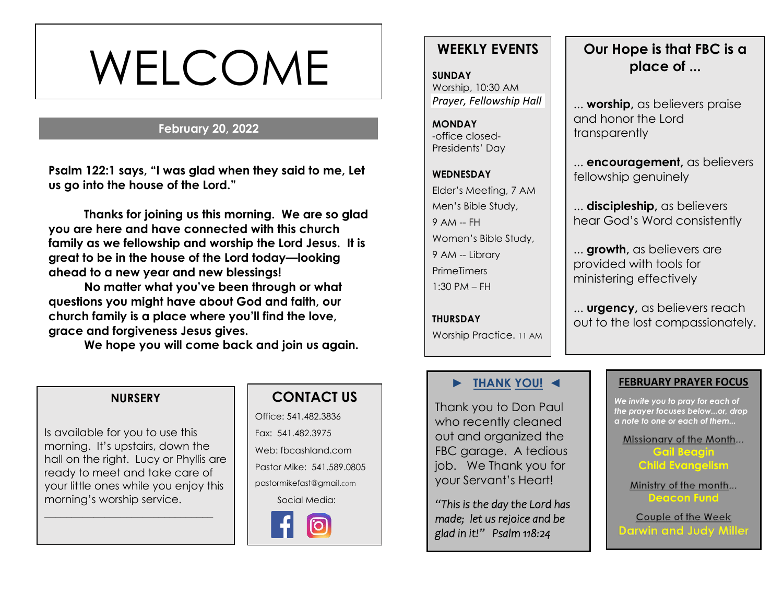# WELCOME

#### **February 20, 2022**

**s Psalm 122:1 says, "I was glad when they said to me, Let us go into the house of the Lord."**

**Thanks for joining us this morning. We are so glad you are here and have connected with this church family as we fellowship and worship the Lord Jesus. It is great to be in the house of the Lord today—looking ahead to a new year and new blessings!** 

**No matter what you've been through or what questions you might have about God and faith, our church family is a place where you'll find the love, grace and forgiveness Jesus gives.**

**We hope you will come back and join us again.**

# **WEEKLY EVENTS**

**SUNDAY** Worship, 10:30 AM *Prayer, Fellowship Hall*

**MONDAY** -office closed-Presidents' Day

**WEDNESDAY** Elder's Meeting, 7 AM Men's Bible Study, 9 AM -- FH Women's Bible Study, 9 AM -- Library **PrimeTimers**  $1:30$  PM  $-$  FH

**THURSDAY** Worship Practice. 11 AM

# **Our Hope is that FBC is a place of ...**

... **worship,** as believers praise and honor the Lord transparently

... **encouragement,** as believers fellowship genuinely

... **discipleship,** as believers hear God's Word consistently

... **growth,** as believers are provided with tools for ministering effectively

... **urgency,** as believers reach out to the lost compassionately.

#### **NURSERY**

Is available for you to use this morning. It's upstairs, down the hall on the right. Lucy or Phyllis are ready to meet and take care of your little ones while you enjoy this morning's worship service.

\_\_\_\_\_\_\_\_\_\_\_\_\_\_\_\_\_\_\_\_\_\_\_\_\_\_\_\_\_\_\_

## **CONTACT US**

Office: 541.482.3836 Fax: 541.482.3975 Web: fbcashland.com Pastor Mike: 541.589.0805 pastormikefast@gmail.com Social Media:



#### **► THANK YOU! ◄**

Thank you to Don Paul who recently cleaned out and organized the FBC garage. A tedious job. We Thank you for your Servant's Heart!

*"This is the day the Lord has made; let us rejoice and be glad in it!" Psalm 118:24* 

#### **FEBRUARY PRAYER FOCUS**

*We invite you to pray for each of the prayer focuses below...or, drop a note to one or each of them...*

Missionary of the Month...

**Gail Beagin Child Evangelism**

Ministry of the month... **Deacon Fund**

Couple of the Week **Darwin and Judy Miller**